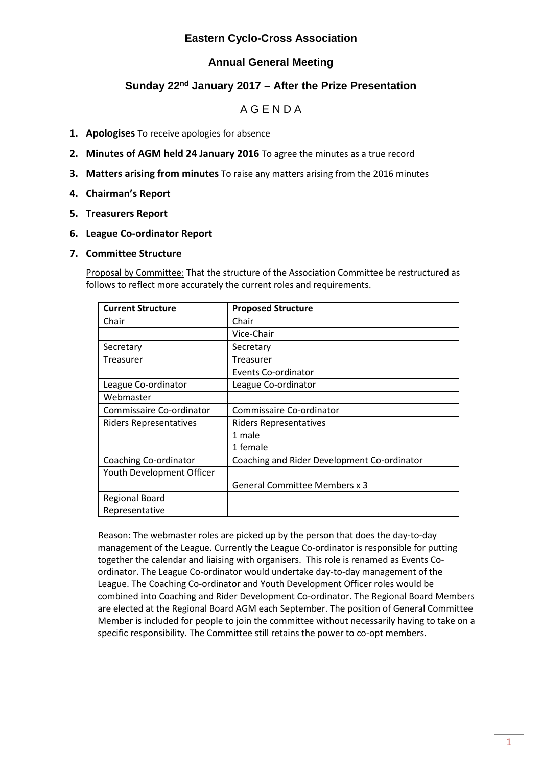### **Eastern Cyclo-Cross Association**

## **Annual General Meeting**

## **Sunday 22nd January 2017 – After the Prize Presentation**

## A G E N D A

- **1. Apologises** To receive apologies for absence
- **2. Minutes of AGM held 24 January 2016** To agree the minutes as a true record
- **3. Matters arising from minutes** To raise any matters arising from the 2016 minutes
- **4. Chairman's Report**
- **5. Treasurers Report**

#### **6. League Co-ordinator Report**

#### **7. Committee Structure**

Proposal by Committee: That the structure of the Association Committee be restructured as follows to reflect more accurately the current roles and requirements.

| <b>Current Structure</b>      | <b>Proposed Structure</b>                   |
|-------------------------------|---------------------------------------------|
| Chair                         | Chair                                       |
|                               | Vice-Chair                                  |
| Secretary                     | Secretary                                   |
| Treasurer                     | Treasurer                                   |
|                               | Events Co-ordinator                         |
| League Co-ordinator           | League Co-ordinator                         |
| Webmaster                     |                                             |
| Commissaire Co-ordinator      | Commissaire Co-ordinator                    |
| <b>Riders Representatives</b> | Riders Representatives                      |
|                               | 1 male                                      |
|                               | 1 female                                    |
| Coaching Co-ordinator         | Coaching and Rider Development Co-ordinator |
| Youth Development Officer     |                                             |
|                               | <b>General Committee Members x 3</b>        |
| <b>Regional Board</b>         |                                             |
| Representative                |                                             |

Reason: The webmaster roles are picked up by the person that does the day-to-day management of the League. Currently the League Co-ordinator is responsible for putting together the calendar and liaising with organisers. This role is renamed as Events Coordinator. The League Co-ordinator would undertake day-to-day management of the League. The Coaching Co-ordinator and Youth Development Officer roles would be combined into Coaching and Rider Development Co-ordinator. The Regional Board Members are elected at the Regional Board AGM each September. The position of General Committee Member is included for people to join the committee without necessarily having to take on a specific responsibility. The Committee still retains the power to co-opt members.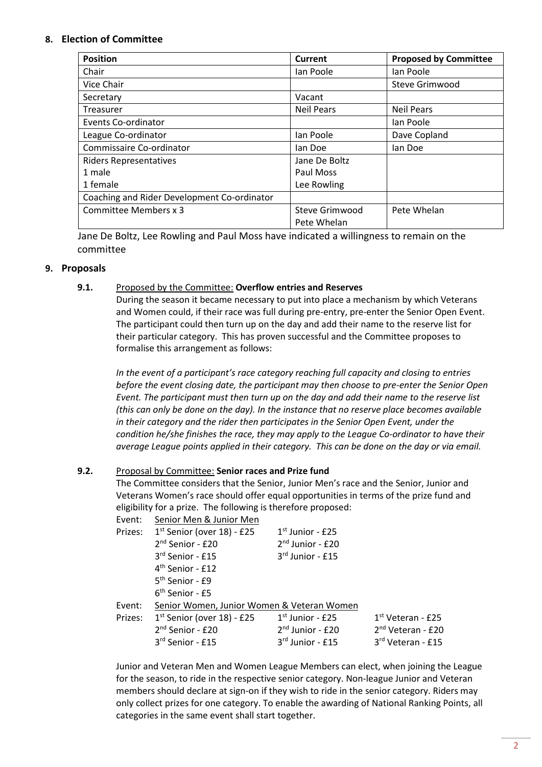#### **8. Election of Committee**

| <b>Position</b>                             | Current               | <b>Proposed by Committee</b> |
|---------------------------------------------|-----------------------|------------------------------|
| Chair                                       | Ian Poole             | lan Poole                    |
| Vice Chair                                  |                       | Steve Grimwood               |
| Secretary                                   | Vacant                |                              |
| <b>Treasurer</b>                            | <b>Neil Pears</b>     | <b>Neil Pears</b>            |
| Events Co-ordinator                         |                       | lan Poole                    |
| League Co-ordinator                         | lan Poole             | Dave Copland                 |
| Commissaire Co-ordinator                    | lan Doe               | lan Doe                      |
| <b>Riders Representatives</b>               | Jane De Boltz         |                              |
| 1 male                                      | Paul Moss             |                              |
| 1 female                                    | Lee Rowling           |                              |
| Coaching and Rider Development Co-ordinator |                       |                              |
| Committee Members x 3                       | <b>Steve Grimwood</b> | Pete Whelan                  |
|                                             | Pete Whelan           |                              |

Jane De Boltz, Lee Rowling and Paul Moss have indicated a willingness to remain on the committee

#### **9. Proposals**

#### **9.1.** Proposed by the Committee: **Overflow entries and Reserves**

During the season it became necessary to put into place a mechanism by which Veterans and Women could, if their race was full during pre-entry, pre-enter the Senior Open Event. The participant could then turn up on the day and add their name to the reserve list for their particular category. This has proven successful and the Committee proposes to formalise this arrangement as follows:

*In the event of a participant's race category reaching full capacity and closing to entries before the event closing date, the participant may then choose to pre-enter the Senior Open Event. The participant must then turn up on the day and add their name to the reserve list (this can only be done on the day). In the instance that no reserve place becomes available in their category and the rider then participates in the Senior Open Event, under the condition he/she finishes the race, they may apply to the League Co-ordinator to have their average League points applied in their category. This can be done on the day or via email.*

#### **9.2.** Proposal by Committee: **Senior races and Prize fund**

The Committee considers that the Senior, Junior Men's race and the Senior, Junior and Veterans Women's race should offer equal opportunities in terms of the prize fund and eligibility for a prize. The following is therefore proposed:

| Event:  | Senior Men & Junior Men                    |                    |                               |  |  |  |
|---------|--------------------------------------------|--------------------|-------------------------------|--|--|--|
| Prizes: | 1st Senior (over 18) - £25                 | $1st$ Junior - £25 |                               |  |  |  |
|         | 2 <sup>nd</sup> Senior - £20               | $2nd$ Junior - £20 |                               |  |  |  |
|         | 3rd Senior - £15                           | $3rd$ Junior - £15 |                               |  |  |  |
|         | $4th$ Senior - £12                         |                    |                               |  |  |  |
|         | 5 <sup>th</sup> Senior - £9                |                    |                               |  |  |  |
|         | $6th$ Senior - £5                          |                    |                               |  |  |  |
| Event:  | Senior Women, Junior Women & Veteran Women |                    |                               |  |  |  |
| Prizes: | $1st$ Senior (over 18) - £25               | $1st$ Junior - £25 | $1st$ Veteran - £25           |  |  |  |
|         | 2 <sup>nd</sup> Senior - £20               | $2nd$ Junior - £20 | 2 <sup>nd</sup> Veteran - £20 |  |  |  |
|         | 3rd Senior - £15                           | $3rd$ Junior - £15 | 3rd Veteran - £15             |  |  |  |

Junior and Veteran Men and Women League Members can elect, when joining the League for the season, to ride in the respective senior category. Non-league Junior and Veteran members should declare at sign-on if they wish to ride in the senior category. Riders may only collect prizes for one category. To enable the awarding of National Ranking Points, all categories in the same event shall start together.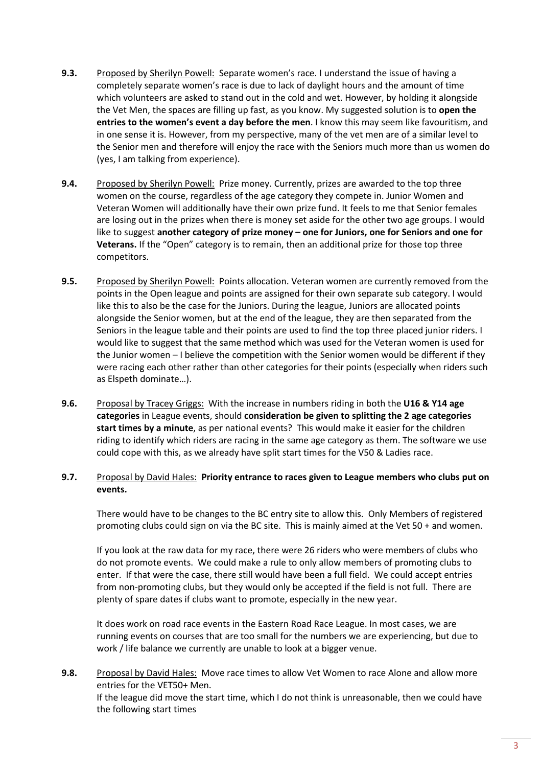- **9.3.** Proposed by Sherilyn Powell: Separate women's race. I understand the issue of having a completely separate women's race is due to lack of daylight hours and the amount of time which volunteers are asked to stand out in the cold and wet. However, by holding it alongside the Vet Men, the spaces are filling up fast, as you know. My suggested solution is to **open the entries to the women's event a day before the men**. I know this may seem like favouritism, and in one sense it is. However, from my perspective, many of the vet men are of a similar level to the Senior men and therefore will enjoy the race with the Seniors much more than us women do (yes, I am talking from experience).
- **9.4.** Proposed by Sherilyn Powell: Prize money. Currently, prizes are awarded to the top three women on the course, regardless of the age category they compete in. Junior Women and Veteran Women will additionally have their own prize fund. It feels to me that Senior females are losing out in the prizes when there is money set aside for the other two age groups. I would like to suggest **another category of prize money – one for Juniors, one for Seniors and one for Veterans.** If the "Open" category is to remain, then an additional prize for those top three competitors.
- **9.5.** Proposed by Sherilyn Powell: Points allocation. Veteran women are currently removed from the points in the Open league and points are assigned for their own separate sub category. I would like this to also be the case for the Juniors. During the league, Juniors are allocated points alongside the Senior women, but at the end of the league, they are then separated from the Seniors in the league table and their points are used to find the top three placed junior riders. I would like to suggest that the same method which was used for the Veteran women is used for the Junior women – I believe the competition with the Senior women would be different if they were racing each other rather than other categories for their points (especially when riders such as Elspeth dominate…).
- **9.6.** Proposal by Tracey Griggs: With the increase in numbers riding in both the **U16 & Y14 age categories** in League events, should **consideration be given to splitting the 2 age categories start times by a minute**, as per national events? This would make it easier for the children riding to identify which riders are racing in the same age category as them. The software we use could cope with this, as we already have split start times for the V50 & Ladies race.
- **9.7.** Proposal by David Hales: **Priority entrance to races given to League members who clubs put on events.**

There would have to be changes to the BC entry site to allow this. Only Members of registered promoting clubs could sign on via the BC site. This is mainly aimed at the Vet 50 + and women.

If you look at the raw data for my race, there were 26 riders who were members of clubs who do not promote events. We could make a rule to only allow members of promoting clubs to enter. If that were the case, there still would have been a full field. We could accept entries from non-promoting clubs, but they would only be accepted if the field is not full. There are plenty of spare dates if clubs want to promote, especially in the new year.

It does work on road race events in the Eastern Road Race League. In most cases, we are running events on courses that are too small for the numbers we are experiencing, but due to work / life balance we currently are unable to look at a bigger venue.

**9.8.** Proposal by David Hales: Move race times to allow Vet Women to race Alone and allow more entries for the VET50+ Men. If the league did move the start time, which I do not think is unreasonable, then we could have the following start times